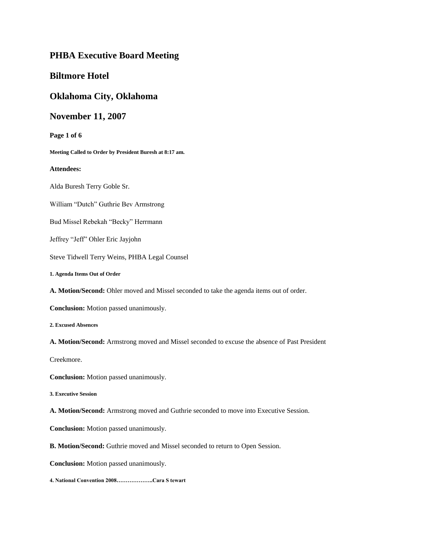## **PHBA Executive Board Meeting**

## **Biltmore Hotel**

### **Oklahoma City, Oklahoma**

## **November 11, 2007**

**Page 1 of 6**

**Meeting Called to Order by President Buresh at 8:17 am.**

#### **Attendees:**

Alda Buresh Terry Goble Sr.

William "Dutch" Guthrie Bev Armstrong

Bud Missel Rebekah "Becky" Herrmann

Jeffrey "Jeff" Ohler Eric Jayjohn

Steve Tidwell Terry Weins, PHBA Legal Counsel

**1. Agenda Items Out of Order**

**A. Motion/Second:** Ohler moved and Missel seconded to take the agenda items out of order.

**Conclusion:** Motion passed unanimously.

**2. Excused Absences**

**A. Motion/Second:** Armstrong moved and Missel seconded to excuse the absence of Past President

Creekmore.

**Conclusion:** Motion passed unanimously.

**3. Executive Session**

**A. Motion/Second:** Armstrong moved and Guthrie seconded to move into Executive Session.

**Conclusion:** Motion passed unanimously.

**B. Motion/Second:** Guthrie moved and Missel seconded to return to Open Session.

**Conclusion:** Motion passed unanimously.

**4. National Convention 2008………………..Cara S tewart**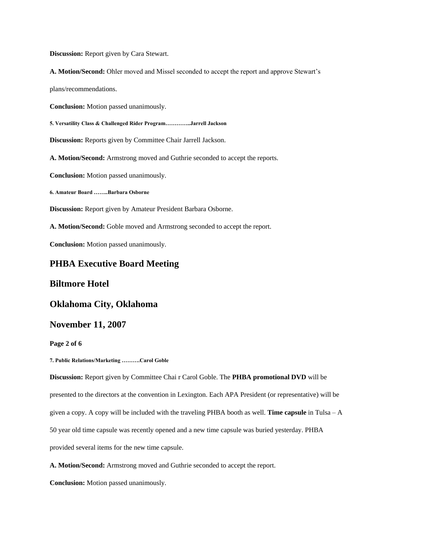**Discussion:** Report given by Cara Stewart.

**A. Motion/Second:** Ohler moved and Missel seconded to accept the report and approve Stewart's

plans/recommendations.

**Conclusion:** Motion passed unanimously.

**5. Versatility Class & Challenged Rider Program…………..Jarrell Jackson**

**Discussion:** Reports given by Committee Chair Jarrell Jackson.

**A. Motion/Second:** Armstrong moved and Guthrie seconded to accept the reports.

**Conclusion:** Motion passed unanimously.

**6. Amateur Board ……..Barbara Osborne**

**Discussion:** Report given by Amateur President Barbara Osborne.

**A. Motion/Second:** Goble moved and Armstrong seconded to accept the report.

**Conclusion:** Motion passed unanimously.

# **PHBA Executive Board Meeting**

#### **Biltmore Hotel**

### **Oklahoma City, Oklahoma**

## **November 11, 2007**

#### **Page 2 of 6**

**7. Public Relations/Marketing ……….Carol Goble**

**Discussion:** Report given by Committee Chai r Carol Goble. The **PHBA promotional DVD** will be

presented to the directors at the convention in Lexington. Each APA President (or representative) will be

given a copy. A copy will be included with the traveling PHBA booth as well. **Time capsule** in Tulsa – A

50 year old time capsule was recently opened and a new time capsule was buried yesterday. PHBA

provided several items for the new time capsule.

**A. Motion/Second:** Armstrong moved and Guthrie seconded to accept the report.

**Conclusion:** Motion passed unanimously.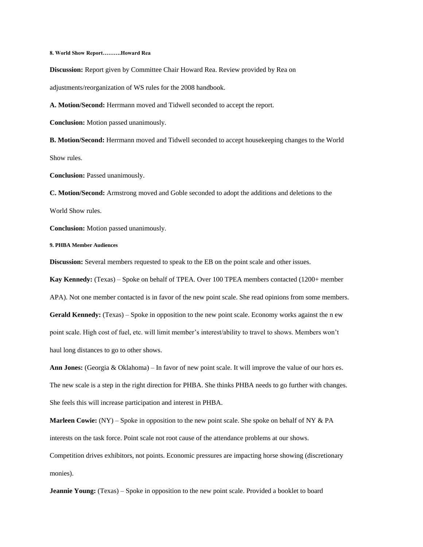**8. World Show Report……….Howard Rea**

**Discussion:** Report given by Committee Chair Howard Rea. Review provided by Rea on

adjustments/reorganization of WS rules for the 2008 handbook.

**A. Motion/Second:** Herrmann moved and Tidwell seconded to accept the report.

**Conclusion:** Motion passed unanimously.

**B. Motion/Second:** Herrmann moved and Tidwell seconded to accept housekeeping changes to the World Show rules.

**Conclusion:** Passed unanimously.

**C. Motion/Second:** Armstrong moved and Goble seconded to adopt the additions and deletions to the World Show rules.

**Conclusion:** Motion passed unanimously.

**9. PHBA Member Audiences**

**Discussion:** Several members requested to speak to the EB on the point scale and other issues.

**Kay Kennedy:** (Texas) – Spoke on behalf of TPEA. Over 100 TPEA members contacted (1200+ member

APA). Not one member contacted is in favor of the new point scale. She read opinions from some members.

**Gerald Kennedy:** (Texas) – Spoke in opposition to the new point scale. Economy works against the n ew point scale. High cost of fuel, etc. will limit member's interest/ability to travel to shows. Members won't haul long distances to go to other shows.

**Ann Jones:** (Georgia & Oklahoma) – In favor of new point scale. It will improve the value of our hors es. The new scale is a step in the right direction for PHBA. She thinks PHBA needs to go further with changes. She feels this will increase participation and interest in PHBA.

**Marleen Cowie:** (NY) – Spoke in opposition to the new point scale. She spoke on behalf of NY & PA interests on the task force. Point scale not root cause of the attendance problems at our shows.

Competition drives exhibitors, not points. Economic pressures are impacting horse showing (discretionary monies).

**Jeannie Young:** (Texas) – Spoke in opposition to the new point scale. Provided a booklet to board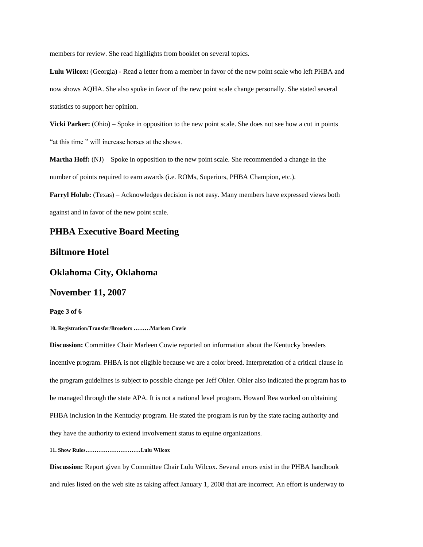members for review. She read highlights from booklet on several topics.

**Lulu Wilcox:** (Georgia) - Read a letter from a member in favor of the new point scale who left PHBA and now shows AQHA. She also spoke in favor of the new point scale change personally. She stated several statistics to support her opinion.

**Vicki Parker:** (Ohio) – Spoke in opposition to the new point scale. She does not see how a cut in points "at this time " will increase horses at the shows.

**Martha Hoff:** (NJ) – Spoke in opposition to the new point scale. She recommended a change in the number of points required to earn awards (i.e. ROMs, Superiors, PHBA Champion, etc.).

**Farryl Holub:** (Texas) – Acknowledges decision is not easy. Many members have expressed views both against and in favor of the new point scale.

## **PHBA Executive Board Meeting**

## **Biltmore Hotel**

## **Oklahoma City, Oklahoma**

#### **November 11, 2007**

**Page 3 of 6**

**10. Registration/Transfer/Breeders ………Marleen Cowie**

**Discussion:** Committee Chair Marleen Cowie reported on information about the Kentucky breeders incentive program. PHBA is not eligible because we are a color breed. Interpretation of a critical clause in the program guidelines is subject to possible change per Jeff Ohler. Ohler also indicated the program has to be managed through the state APA. It is not a national level program. Howard Rea worked on obtaining PHBA inclusion in the Kentucky program. He stated the program is run by the state racing authority and they have the authority to extend involvement status to equine organizations.

#### **11. Show Rules…………………………Lulu Wilcox**

**Discussion:** Report given by Committee Chair Lulu Wilcox. Several errors exist in the PHBA handbook and rules listed on the web site as taking affect January 1, 2008 that are incorrect. An effort is underway to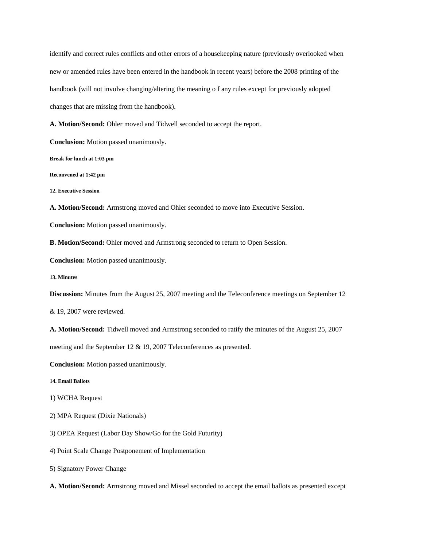identify and correct rules conflicts and other errors of a housekeeping nature (previously overlooked when new or amended rules have been entered in the handbook in recent years) before the 2008 printing of the handbook (will not involve changing/altering the meaning o f any rules except for previously adopted changes that are missing from the handbook).

**A. Motion/Second:** Ohler moved and Tidwell seconded to accept the report.

**Conclusion:** Motion passed unanimously.

**Break for lunch at 1:03 pm**

**Reconvened at 1:42 pm**

**12. Executive Session**

**A. Motion/Second:** Armstrong moved and Ohler seconded to move into Executive Session.

**Conclusion:** Motion passed unanimously.

**B. Motion/Second:** Ohler moved and Armstrong seconded to return to Open Session.

**Conclusion:** Motion passed unanimously.

**13. Minutes**

**Discussion:** Minutes from the August 25, 2007 meeting and the Teleconference meetings on September 12

& 19, 2007 were reviewed.

**A. Motion/Second:** Tidwell moved and Armstrong seconded to ratify the minutes of the August 25, 2007

meeting and the September 12 & 19, 2007 Teleconferences as presented.

**Conclusion:** Motion passed unanimously.

**14. Email Ballots**

1) WCHA Request

2) MPA Request (Dixie Nationals)

3) OPEA Request (Labor Day Show/Go for the Gold Futurity)

4) Point Scale Change Postponement of Implementation

5) Signatory Power Change

**A. Motion/Second:** Armstrong moved and Missel seconded to accept the email ballots as presented except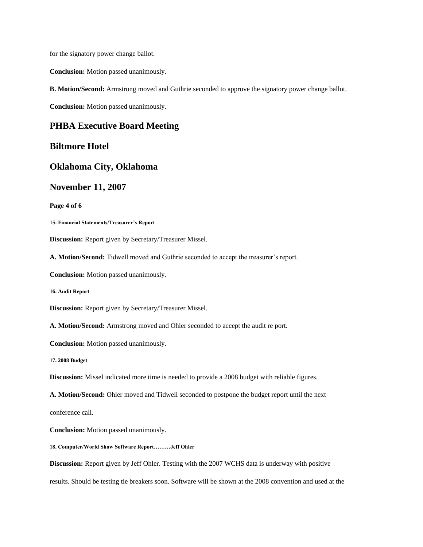for the signatory power change ballot.

**Conclusion:** Motion passed unanimously.

**B. Motion/Second:** Armstrong moved and Guthrie seconded to approve the signatory power change ballot.

**Conclusion:** Motion passed unanimously.

## **PHBA Executive Board Meeting**

#### **Biltmore Hotel**

#### **Oklahoma City, Oklahoma**

## **November 11, 2007**

**Page 4 of 6**

**15. Financial Statements/Treasurer's Report**

**Discussion:** Report given by Secretary/Treasurer Missel.

**A. Motion/Second:** Tidwell moved and Guthrie seconded to accept the treasurer's report.

**Conclusion:** Motion passed unanimously.

**16. Audit Report**

**Discussion:** Report given by Secretary/Treasurer Missel.

**A. Motion/Second:** Armstrong moved and Ohler seconded to accept the audit re port.

**Conclusion:** Motion passed unanimously.

**17. 2008 Budget**

**Discussion:** Missel indicated more time is needed to provide a 2008 budget with reliable figures.

**A. Motion/Second:** Ohler moved and Tidwell seconded to postpone the budget report until the next

conference call.

**Conclusion:** Motion passed unanimously.

**18. Computer/World Show Software Report………Jeff Ohler**

**Discussion:** Report given by Jeff Ohler. Testing with the 2007 WCHS data is underway with positive

results. Should be testing tie breakers soon. Software will be shown at the 2008 convention and used at the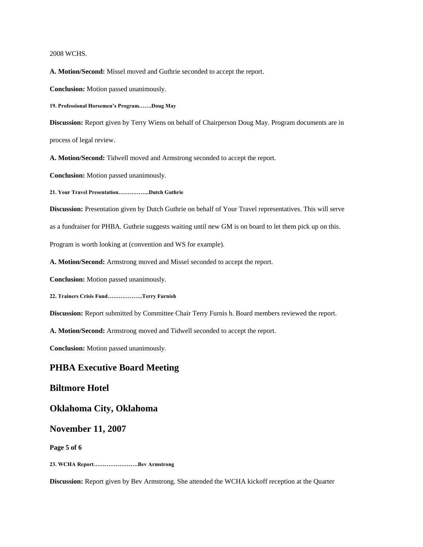#### 2008 WCHS.

**A. Motion/Second:** Missel moved and Guthrie seconded to accept the report.

**Conclusion:** Motion passed unanimously.

**19. Professional Horsemen's Program…….Doug May**

**Discussion:** Report given by Terry Wiens on behalf of Chairperson Doug May. Program documents are in process of legal review.

**A. Motion/Second:** Tidwell moved and Armstrong seconded to accept the report.

**Conclusion:** Motion passed unanimously.

**21. Your Travel Presentation……………..Dutch Guthrie**

**Discussion:** Presentation given by Dutch Guthrie on behalf of Your Travel representatives. This will serve

as a fundraiser for PHBA. Guthrie suggests waiting until new GM is on board to let them pick up on this.

Program is worth looking at (convention and WS for example).

**A. Motion/Second:** Armstrong moved and Missel seconded to accept the report.

**Conclusion:** Motion passed unanimously.

**22. Trainers Crisis Fund……………….Terry Furnish**

**Discussion:** Report submitted by Committee Chair Terry Furnis h. Board members reviewed the report.

**A. Motion/Second:** Armstrong moved and Tidwell seconded to accept the report.

**Conclusion:** Motion passed unanimously.

#### **PHBA Executive Board Meeting**

## **Biltmore Hotel**

**Oklahoma City, Oklahoma**

#### **November 11, 2007**

**Page 5 of 6**

**23. WCHA Report……………………Bev Armstrong**

**Discussion:** Report given by Bev Armstrong. She attended the WCHA kickoff reception at the Quarter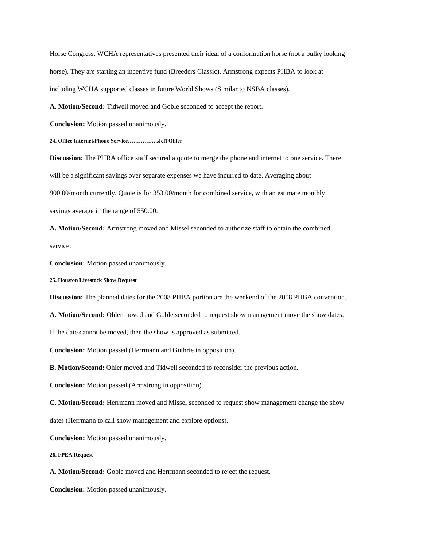Horse Congress. WCHA representatives presented their ideal of a conformation horse (not a bulky looking horse). They are starting an incentive fund (Breeders Classic). Armstrong expects PHBA to look at including WCHA supported classes in future World Shows (Similar to NSBA classes).

**A. Motion/Second:** Tidwell moved and Goble seconded to accept the report.

**Conclusion:** Motion passed unanimously.

**24. Office Internet/Phone Service……………..Jeff Ohler**

**Discussion:** The PHBA office staff secured a quote to merge the phone and internet to one service. There will be a significant savings over separate expenses we have incurred to date. Averaging about 900.00/month currently. Quote is for 353.00/month for combined service, with an estimate monthly savings average in the range of 550.00.

**A. Motion/Second:** Armstrong moved and Missel seconded to authorize staff to obtain the combined service.

**Conclusion:** Motion passed unanimously.

**25. Houston Livestock Show Request**

**Discussion:** The planned dates for the 2008 PHBA portion are the weekend of the 2008 PHBA convention.

**A. Motion/Second:** Ohler moved and Goble seconded to request show management move the show dates.

If the date cannot be moved, then the show is approved as submitted.

**Conclusion:** Motion passed (Herrmann and Guthrie in opposition).

**B. Motion/Second:** Ohler moved and Tidwell seconded to reconsider the previous action.

**Conclusion:** Motion passed (Armstrong in opposition).

**C. Motion/Second:** Herrmann moved and Missel seconded to request show management change the show

dates (Herrmann to call show management and explore options).

**Conclusion:** Motion passed unanimously.

**26. FPEA Request**

**A. Motion/Second:** Goble moved and Herrmann seconded to reject the request.

**Conclusion:** Motion passed unanimously.